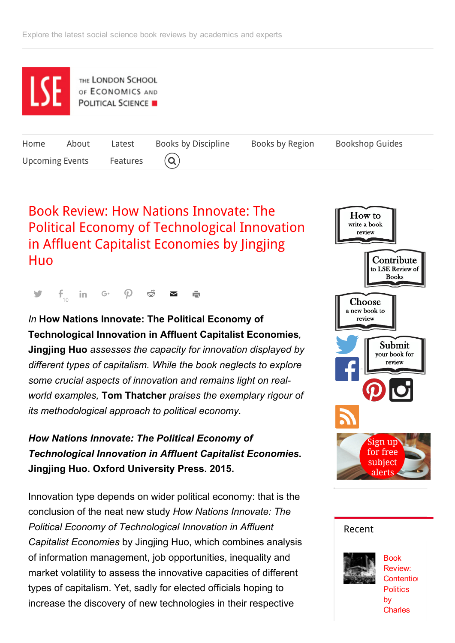

# Book Review: How Nations Innovate: The Political Economy of [Technological](http://blogs.lse.ac.uk/lsereviewofbooks/2015/12/02/book-review-how-nations-innovate-the-political-economy-of-technological-innovation-in-affluent-capitalist-economies-by-jingjing-huo/) Innovation in Affluent Capitalist Economies by Jingjing Huo

 $f_{10}$ in G  $\varphi$  of  $\blacksquare$ ÷.

## *In* How Nations Innovate: The Political Economy of Technological Innovation in Affluent Capitalist Economies*,* Jingjing Huo *assesses the capacity for innovation displayed by different types of capitalism. While the book neglects to explore some crucial aspects of innovation and remains light on realworld examples,* Tom Thatcher *praises the exemplary rigour of its methodological approach to political economy.*

*How Nations Innovate: The Political Economy of Technological Innovation in Affluent Capitalist Economies*. Jingjing Huo. Oxford University Press. 2015.

Innovation type depends on wider political economy: that is the conclusion of the neat new study *How Nations Innovate: The Political Economy of Technological Innovation in Affluent Capitalist Economies* by Jingjing Huo, which combines analysis of information management, job opportunities, inequality and market volatility to assess the innovative capacities of different types of capitalism. Yet, sadly for elected officials hoping to increase the discovery of new technologies in their respective



### [Recent](#page-2-0)



Book Review: Contentio **Politics** by **Charles**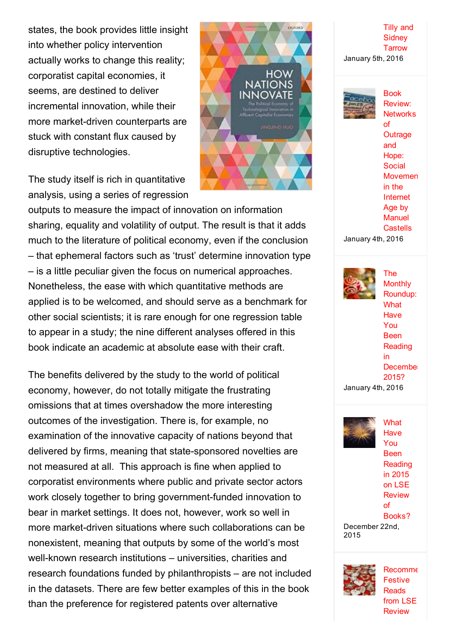states, the book provides little insight into whether policy intervention actually works to change this reality; corporatist capital economies, it seems, are destined to deliver incremental innovation, while their more market-driven counterparts are stuck with constant flux caused by disruptive technologies.

The study itself is rich in quantitative analysis, using a series of regression

outputs to measure the impact of innovation on information sharing, equality and volatility of output. The result is that it adds much to the literature of political economy, even if the conclusion – that ephemeral factors such as 'trust' determine innovation type – is a little peculiar given the focus on numerical approaches. Nonetheless, the ease with which quantitative methods are applied is to be welcomed, and should serve as a benchmark for other social scientists; it is rare enough for one regression table to appear in a study; the nine different analyses offered in this book indicate an academic at absolute ease with their craft.

The benefits delivered by the study to the world of political economy, however, do not totally mitigate the frustrating omissions that at times overshadow the more interesting outcomes of the investigation. There is, for example, no examination of the innovative capacity of nations beyond that delivered by firms, meaning that state-sponsored novelties are not measured at all. This approach is fine when applied to corporatist environments where public and private sector actors work closely together to bring government-funded innovation to bear in market settings. It does not, however, work so well in more market-driven situations where such collaborations can be nonexistent, meaning that outputs by some of the world's most well-known research institutions – universities, charities and research foundations funded by philanthropists – are not included in the datasets. There are few better examples of this in the book than the preference for registered patents over alternative

Tilly and **[Sidney](http://blogs.lse.ac.uk/lsereviewofbooks/2016/01/05/book-review-contentious-politics-by-charles-tilly-and-sidney-tarrow/) Tarrow** January 5th, 2016



**OXFORD** 

**HOW** NATIONS INNOVATE

Book Review: **Networks** of **Outrage** and Hope: **Social** [Movemen](http://blogs.lse.ac.uk/lsereviewofbooks/2016/01/04/book-review-networks-of-outrage-and-hope-social-movements-in-the-internet-age-by-manuel-castells/) in the Internet Age by **Manuel Castells** January 4th, 2016



The **Monthly** Roundup: **What Have** You Been **Reading** in **[December](http://blogs.lse.ac.uk/lsereviewofbooks/2016/01/04/the-monthly-roundup-what-have-you-been-reading-in-december-2015/)** 2015? January 4th, 2016

**What Have** You Been

[Reading](http://blogs.lse.ac.uk/lsereviewofbooks/2015/12/22/what-have-you-been-reading-in-2015-on-lse-review-of-books/) in 2015 on LSE **Review** of Books? December 22nd,

2015

[Recomme](http://blogs.lse.ac.uk/lsereviewofbooks/2015/12/22/recommended-festive-reads-from-lse-review-of-books-part-two/) Festive **Reads** from LSE **Review**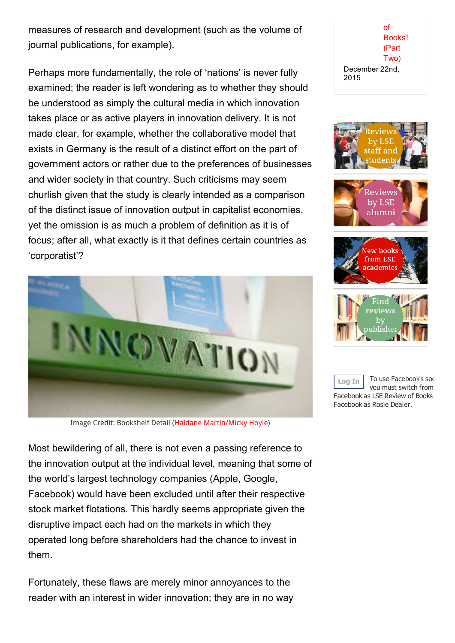measures of research and development (such as the volume of journal publications, for example).

Perhaps more fundamentally, the role of 'nations' is never fully examined; the reader is left wondering as to whether they should be understood as simply the cultural media in which innovation takes place or as active players in innovation delivery. It is not made clear, for example, whether the collaborative model that exists in Germany is the result of a distinct effort on the part of government actors or rather due to the preferences of businesses and wider society in that country. Such criticisms may seem churlish given that the study is clearly intended as a comparison of the distinct issue of innovation output in capitalist economies, yet the omission is as much a problem of definition as it is of focus; after all, what exactly is it that defines certain countries as 'corporatist'?



Image Credit: Bookshelf Detail (Haldane [Martin/Micky](https://www.flickr.com/photos/haldanemartin/18008661489/in/album-72157653529227136/) Hoyle)

Most bewildering of all, there is not even a passing reference to the innovation output at the individual level, meaning that some of the world's largest technology companies (Apple, Google, Facebook) would have been excluded until after their respective stock market flotations. This hardly seems appropriate given the disruptive impact each had on the markets in which they operated long before shareholders had the chance to invest in them.

Fortunately, these flaws are merely minor annoyances to the reader with an interest in wider innovation; they are in no way

of [Books!](http://blogs.lse.ac.uk/lsereviewofbooks/2015/12/22/recommended-festive-reads-from-lse-review-of-books-part-two/) (Part Two) December 22nd, 2015









<span id="page-2-0"></span>Log In To use Facebook's soc you must switch from Facebook as LSE Review of Books Facebook as Rosie Dealer.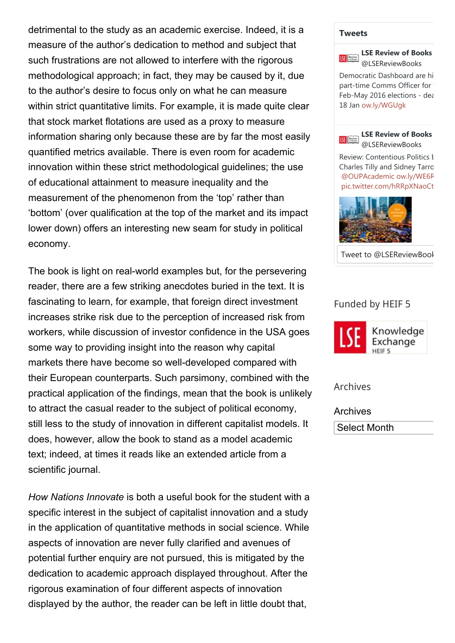detrimental to the study as an academic exercise. Indeed, it is a measure of the author's dedication to method and subject that such frustrations are not allowed to interfere with the rigorous methodological approach; in fact, they may be caused by it, due to the author's desire to focus only on what he can measure within strict quantitative limits. For example, it is made quite clear that stock market flotations are used as a proxy to measure information sharing only because these are by far the most easily quantified metrics available. There is even room for academic innovation within these strict methodological guidelines; the use of educational attainment to measure inequality and the measurement of the phenomenon from the 'top' rather than 'bottom' (over qualification at the top of the market and its impact lower down) offers an interesting new seam for study in political economy.

The book is light on real-world examples but, for the persevering reader, there are a few striking anecdotes buried in the text. It is fascinating to learn, for example, that foreign direct investment increases strike risk due to the perception of increased risk from workers, while discussion of investor confidence in the USA goes some way to providing insight into the reason why capital markets there have become so well-developed compared with their European counterparts. Such parsimony, combined with the practical application of the findings, mean that the book is unlikely to attract the casual reader to the subject of political economy, still less to the study of innovation in different capitalist models. It does, however, allow the book to stand as a model academic text; indeed, at times it reads like an extended article from a scientific journal.

*How Nations Innovate* is both a useful book for the student with a specific interest in the subject of capitalist innovation and a study in the application of quantitative methods in social science. While aspects of innovation are never fully clarified and avenues of potential further enquiry are not pursued, this is mitigated by the dedication to academic approach displayed throughout. After the rigorous examination of four different aspects of innovation displayed by the author, the reader can be left in little doubt that,

#### **[Tweets](https://twitter.com/LSEReviewBooks)**



18 Jan [ow.ly/WGUgk](https://t.co/8AiMOdp1OT)

Democratic Dashboard are hi part-time Comms Officer for Feb-May 2016 elections - dea



Review: Contentious Politics k Charles Tilly and Sidney Tarrow [@OUPAcademic](https://twitter.com/OUPAcademic) [ow.ly/WE6R](https://t.co/FNYHB7SwzF) [pic.twitter.com/hRRpXNaoCt](https://t.co/hRRpXNaoCt)



Tweet to @LSEReviewBool

### Funded by HEIF 5



Archives

Archives Select Month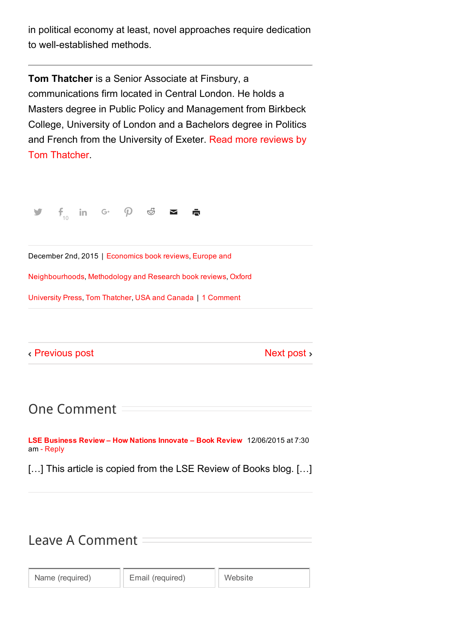in political economy at least, novel approaches require dedication to well-established methods.

Tom Thatcher is a Senior Associate at Finsbury, a communications firm located in Central London. He holds a Masters degree in Public Policy and Management from Birkbeck College, University of London and a Bachelors degree in Politics and French from the [University](http://blogs.lse.ac.uk/lsereviewofbooks/category/book-reviewers/tom-thatcher/) of Exeter. Read more reviews by Tom Thatcher.



December 2nd, 2015 | [Economics](http://blogs.lse.ac.uk/lsereviewofbooks/category/disciplines/economics/) book reviews, Europe and

[Neighbourhoods,](http://blogs.lse.ac.uk/lsereviewofbooks/category/world-regions/europe/) [Methodology](http://blogs.lse.ac.uk/lsereviewofbooks/category/disciplines/methodology-and-research/) and Research book reviews, Oxford

University Press, Tom [Thatcher](http://blogs.lse.ac.uk/lsereviewofbooks/category/book-reviewers/tom-thatcher/), USA and [Canada](http://blogs.lse.ac.uk/lsereviewofbooks/category/world-regions/usa/) | 1 Comment

[Previous](http://blogs.lse.ac.uk/lsereviewofbooks/2015/12/01/book-review-after-the-storm-the-world-economy-and-britains-economic-future-by-vince-cable/) post

[Next](http://blogs.lse.ac.uk/lsereviewofbooks/2015/12/03/book-review-making-british-law-committees-in-action-by-louise-thompson/) post >

One Comment

LSE [Business](http://blogs.lse.ac.uk/businessreview/2015/12/06/how-nations-innovate-book-review/) Review – How Nations Innovate – Book Review 12/06/2015 at 7:30 am - [Reply](http://blogs.lse.ac.uk/lsereviewofbooks/2015/12/02/book-review-how-nations-innovate-the-political-economy-of-technological-innovation-in-affluent-capitalist-economies-by-jingjing-huo/?replytocom=287880#respond)

[...] This article is copied from the LSE Review of Books blog. [...]

## Leave A Comment

Name (required) | Email (required) | Website